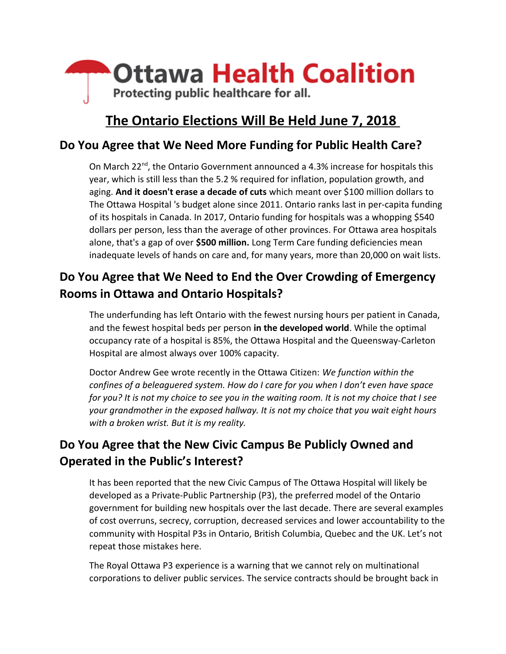

# **The Ontario Elections Will Be Held June 7, 2018**

#### **Do You Agree that We Need More Funding for Public Health Care?**

On March 22<sup>nd</sup>, the Ontario Government announced a 4.3% increase for hospitals this year, which is still less than the 5.2 % required for inflation, population growth, and aging. **And it doesn't erase a decade of cuts** which meant over \$100 million dollars to The Ottawa Hospital 's budget alone since 2011. Ontario ranks last in per-capita funding of its hospitals in Canada. In 2017, Ontario funding for hospitals was a whopping \$540 dollars per person, less than the average of other provinces. For Ottawa area hospitals alone, that's a gap of over **\$500 million.** Long Term Care funding deficiencies mean inadequate levels of hands on care and, for many years, more than 20,000 on wait lists.

### **Do You Agree that We Need to End the Over Crowding of Emergency Rooms in Ottawa and Ontario Hospitals?**

The underfunding has left Ontario with the fewest nursing hours per patient in Canada, and the fewest hospital beds per person **in the developed world**. While the optimal occupancy rate of a hospital is 85%, the Ottawa Hospital and the Queensway-Carleton Hospital are almost always over 100% capacity.

Doctor Andrew Gee wrote recently in the Ottawa Citizen: *We function within the confines of a beleaguered system. How do I care for you when I don't even have space for you? It is not my choice to see you in the waiting room. It is not my choice that I see your grandmother in the exposed hallway. It is not my choice that you wait eight hours with a broken wrist. But it is my reality.*

### **Do You Agree that the New Civic Campus Be Publicly Owned and Operated in the Public's Interest?**

It has been reported that the new Civic Campus of The Ottawa Hospital will likely be developed as a Private-Public Partnership (P3), the preferred model of the Ontario government for building new hospitals over the last decade. There are several examples of cost overruns, secrecy, corruption, decreased services and lower accountability to the community with Hospital P3s in Ontario, British Columbia, Quebec and the UK. Let's not repeat those mistakes here.

The Royal Ottawa P3 experience is a warning that we cannot rely on multinational corporations to deliver public services. The service contracts should be brought back in